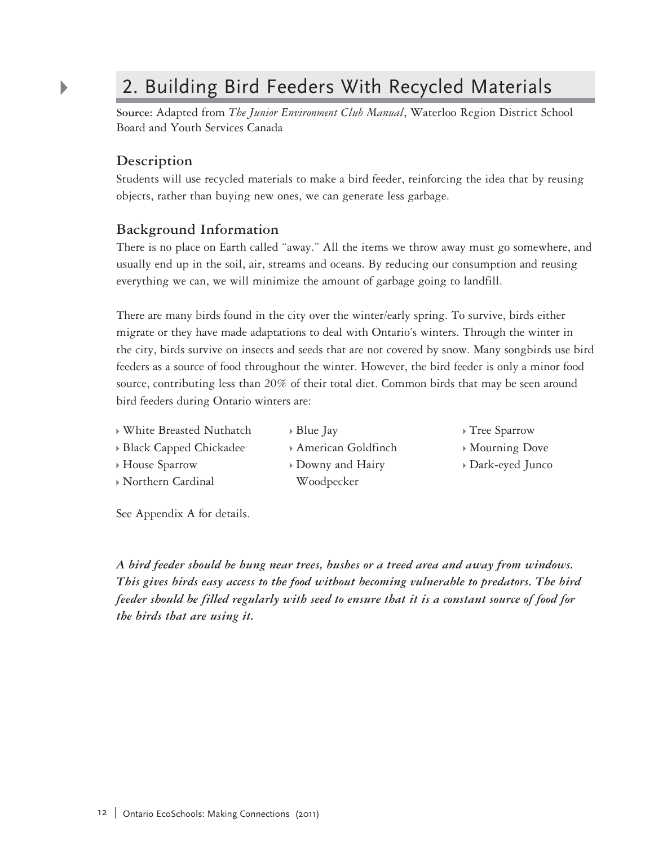## 2. Building Bird Feeders With Recycled Materials

**Source:** Adapted from *The Junior Environment Club Manual*, Waterloo Region District School Board and Youth Services Canada

## **Description**

 $\blacktriangleright$ 

Students will use recycled materials to make a bird feeder, reinforcing the idea that by reusing objects, rather than buying new ones, we can generate less garbage.

## **Background Information**

There is no place on Earth called "away." All the items we throw away must go somewhere, and usually end up in the soil, air, streams and oceans. By reducing our consumption and reusing everything we can, we will minimize the amount of garbage going to landfill.

There are many birds found in the city over the winter/early spring. To survive, birds either migrate or they have made adaptations to deal with Ontario's winters. Through the winter in the city, birds survive on insects and seeds that are not covered by snow. Many songbirds use bird feeders as a source of food throughout the winter. However, the bird feeder is only a minor food source, contributing less than 20% of their total diet. Common birds that may be seen around bird feeders during Ontario winters are:

White Breasted Nuthatch

Blue Jay

American Goldfinch

- House Sparrow
- Northern Cardinal
- Downy and Hairy Woodpecker
- Tree Sparrow
- Mourning Dove
- Dark-eyed Junco

See Appendix A for details.

Black Capped Chickadee

*A bird feeder should be hung near trees, bushes or a treed area and away from windows. This gives birds easy access to the food without becoming vulnerable to predators. The bird feeder should be filled regularly with seed to ensure that it is a constant source of food for the birds that are using it.*